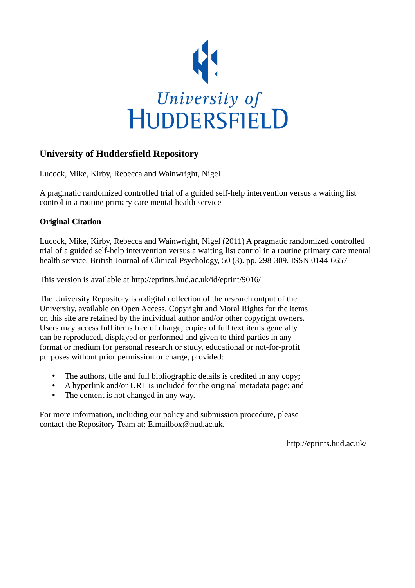

# **University of Huddersfield Repository**

Lucock, Mike, Kirby, Rebecca and Wainwright, Nigel

A pragmatic randomized controlled trial of a guided self-help intervention versus a waiting list control in a routine primary care mental health service

# **Original Citation**

Lucock, Mike, Kirby, Rebecca and Wainwright, Nigel (2011) A pragmatic randomized controlled trial of a guided self-help intervention versus a waiting list control in a routine primary care mental health service. British Journal of Clinical Psychology, 50 (3). pp. 298-309. ISSN 0144-6657

This version is available at http://eprints.hud.ac.uk/id/eprint/9016/

The University Repository is a digital collection of the research output of the University, available on Open Access. Copyright and Moral Rights for the items on this site are retained by the individual author and/or other copyright owners. Users may access full items free of charge; copies of full text items generally can be reproduced, displayed or performed and given to third parties in any format or medium for personal research or study, educational or not-for-profit purposes without prior permission or charge, provided:

- The authors, title and full bibliographic details is credited in any copy;
- A hyperlink and/or URL is included for the original metadata page; and
- The content is not changed in any way.

For more information, including our policy and submission procedure, please contact the Repository Team at: E.mailbox@hud.ac.uk.

http://eprints.hud.ac.uk/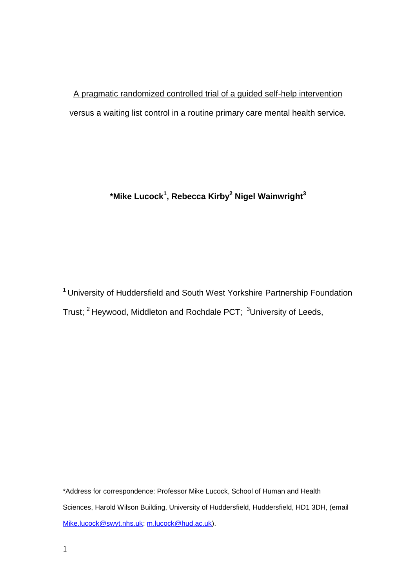# A pragmatic randomized controlled trial of a guided self-help intervention versus a waiting list control in a routine primary care mental health service*.*

# **\*Mike Lucock<sup>1</sup> , Rebecca Kirby<sup>2</sup> Nigel Wainwright<sup>3</sup>**

<sup>1</sup> University of Huddersfield and South West Yorkshire Partnership Foundation Trust; <sup>2</sup> Heywood, Middleton and Rochdale PCT; <sup>3</sup>University of Leeds,

\*Address for correspondence: Professor Mike Lucock, School of Human and Health Sciences, Harold Wilson Building, University of Huddersfield, Huddersfield, HD1 3DH, (email [Mike.lucock@swyt.nhs.uk;](mailto:Mike.lucock@swyt.nhs.uk) [m.lucock@hud.ac.uk\)](mailto:m.lucock@hud.ac.uk).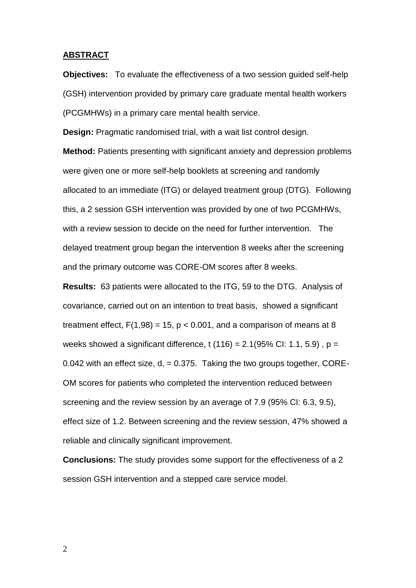#### **ABSTRACT**

**Objectives:** To evaluate the effectiveness of a two session guided self-help (GSH) intervention provided by primary care graduate mental health workers (PCGMHWs) in a primary care mental health service.

**Design:** Pragmatic randomised trial, with a wait list control design.

**Method:** Patients presenting with significant anxiety and depression problems were given one or more self-help booklets at screening and randomly allocated to an immediate (ITG) or delayed treatment group (DTG). Following this, a 2 session GSH intervention was provided by one of two PCGMHWs, with a review session to decide on the need for further intervention. The delayed treatment group began the intervention 8 weeks after the screening and the primary outcome was CORE-OM scores after 8 weeks.

**Results:** 63 patients were allocated to the ITG, 59 to the DTG. Analysis of covariance, carried out on an intention to treat basis, showed a significant treatment effect,  $F(1,98) = 15$ ,  $p < 0.001$ , and a comparison of means at 8 weeks showed a significant difference, t  $(116) = 2.1(95\% \text{ Cl: } 1.1, 5.9)$ , p = 0.042 with an effect size,  $d = 0.375$ . Taking the two groups together, CORE-OM scores for patients who completed the intervention reduced between screening and the review session by an average of 7.9 (95% CI: 6.3, 9.5), effect size of 1.2. Between screening and the review session, 47% showed a reliable and clinically significant improvement.

**Conclusions:** The study provides some support for the effectiveness of a 2 session GSH intervention and a stepped care service model.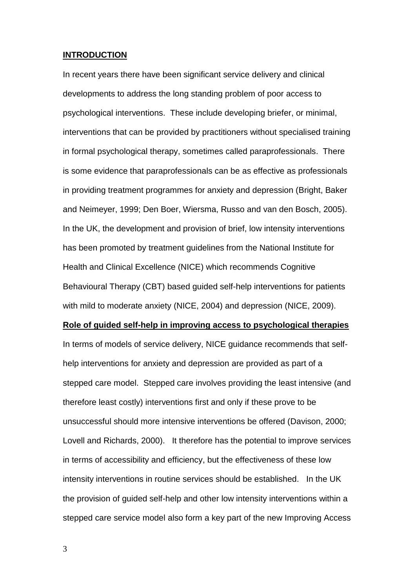## **INTRODUCTION**

In recent years there have been significant service delivery and clinical developments to address the long standing problem of poor access to psychological interventions. These include developing briefer, or minimal, interventions that can be provided by practitioners without specialised training in formal psychological therapy, sometimes called paraprofessionals. There is some evidence that paraprofessionals can be as effective as professionals in providing treatment programmes for anxiety and depression (Bright, Baker and Neimeyer, 1999; Den Boer, Wiersma, Russo and van den Bosch, 2005). In the UK, the development and provision of brief, low intensity interventions has been promoted by treatment guidelines from the National Institute for Health and Clinical Excellence (NICE) which recommends Cognitive Behavioural Therapy (CBT) based guided self-help interventions for patients with mild to moderate anxiety (NICE, 2004) and depression (NICE, 2009).

#### **Role of guided self-help in improving access to psychological therapies**

In terms of models of service delivery, NICE guidance recommends that selfhelp interventions for anxiety and depression are provided as part of a stepped care model. Stepped care involves providing the least intensive (and therefore least costly) interventions first and only if these prove to be unsuccessful should more intensive interventions be offered (Davison, 2000; Lovell and Richards, 2000). It therefore has the potential to improve services in terms of accessibility and efficiency, but the effectiveness of these low intensity interventions in routine services should be established. In the UK the provision of guided self-help and other low intensity interventions within a stepped care service model also form a key part of the new Improving Access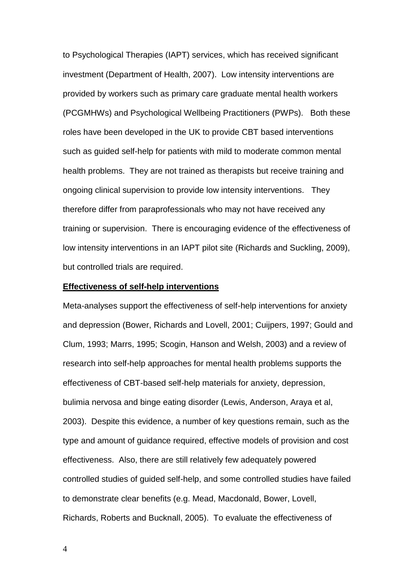to Psychological Therapies (IAPT) services, which has received significant investment (Department of Health, 2007). Low intensity interventions are provided by workers such as primary care graduate mental health workers (PCGMHWs) and Psychological Wellbeing Practitioners (PWPs). Both these roles have been developed in the UK to provide CBT based interventions such as guided self-help for patients with mild to moderate common mental health problems. They are not trained as therapists but receive training and ongoing clinical supervision to provide low intensity interventions. They therefore differ from paraprofessionals who may not have received any training or supervision. There is encouraging evidence of the effectiveness of low intensity interventions in an IAPT pilot site (Richards and Suckling, 2009), but controlled trials are required.

#### **Effectiveness of self-help interventions**

Meta-analyses support the effectiveness of self-help interventions for anxiety and depression (Bower, Richards and Lovell, 2001; Cuijpers, 1997; Gould and Clum, 1993; Marrs, 1995; Scogin, Hanson and Welsh, 2003) and a review of research into self-help approaches for mental health problems supports the effectiveness of CBT-based self-help materials for anxiety, depression, bulimia nervosa and binge eating disorder (Lewis, Anderson, Araya et al, 2003). Despite this evidence, a number of key questions remain, such as the type and amount of guidance required, effective models of provision and cost effectiveness. Also, there are still relatively few adequately powered controlled studies of guided self-help, and some controlled studies have failed to demonstrate clear benefits (e.g. Mead, Macdonald, Bower, Lovell, Richards, Roberts and Bucknall, 2005). To evaluate the effectiveness of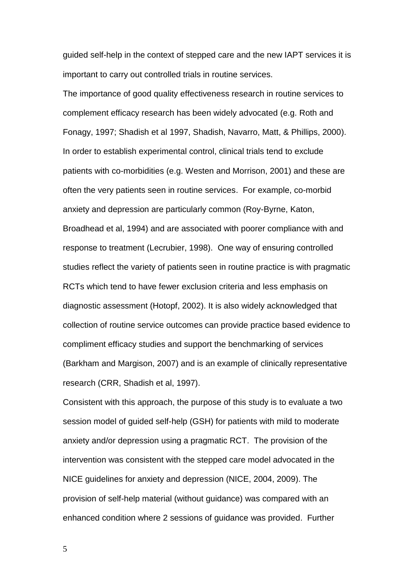guided self-help in the context of stepped care and the new IAPT services it is important to carry out controlled trials in routine services.

The importance of good quality effectiveness research in routine services to complement efficacy research has been widely advocated (e.g. Roth and Fonagy, 1997; Shadish et al 1997, Shadish, Navarro, Matt, & Phillips, 2000). In order to establish experimental control, clinical trials tend to exclude patients with co-morbidities (e.g. Westen and Morrison, 2001) and these are often the very patients seen in routine services. For example, co-morbid anxiety and depression are particularly common (Roy-Byrne, Katon, Broadhead et al, 1994) and are associated with poorer compliance with and response to treatment (Lecrubier, 1998). One way of ensuring controlled studies reflect the variety of patients seen in routine practice is with pragmatic RCTs which tend to have fewer exclusion criteria and less emphasis on diagnostic assessment (Hotopf, 2002). It is also widely acknowledged that collection of routine service outcomes can provide practice based evidence to compliment efficacy studies and support the benchmarking of services (Barkham and Margison, 2007) and is an example of clinically representative research (CRR, Shadish et al, 1997).

Consistent with this approach, the purpose of this study is to evaluate a two session model of guided self-help (GSH) for patients with mild to moderate anxiety and/or depression using a pragmatic RCT. The provision of the intervention was consistent with the stepped care model advocated in the NICE guidelines for anxiety and depression (NICE, 2004, 2009). The provision of self-help material (without guidance) was compared with an enhanced condition where 2 sessions of guidance was provided. Further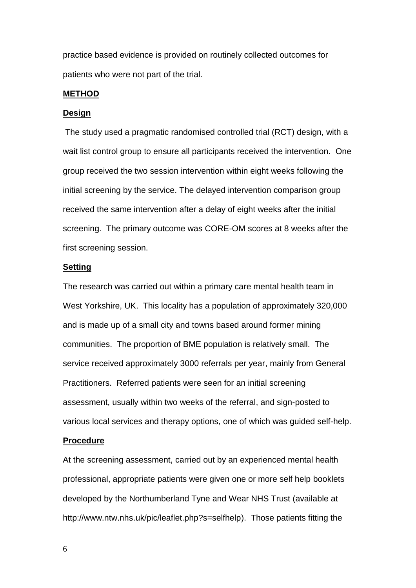practice based evidence is provided on routinely collected outcomes for patients who were not part of the trial.

#### **METHOD**

## **Design**

The study used a pragmatic randomised controlled trial (RCT) design, with a wait list control group to ensure all participants received the intervention. One group received the two session intervention within eight weeks following the initial screening by the service. The delayed intervention comparison group received the same intervention after a delay of eight weeks after the initial screening. The primary outcome was CORE-OM scores at 8 weeks after the first screening session.

## **Setting**

The research was carried out within a primary care mental health team in West Yorkshire, UK. This locality has a population of approximately 320,000 and is made up of a small city and towns based around former mining communities. The proportion of BME population is relatively small. The service received approximately 3000 referrals per year, mainly from General Practitioners. Referred patients were seen for an initial screening assessment, usually within two weeks of the referral, and sign-posted to various local services and therapy options, one of which was guided self-help.

#### **Procedure**

At the screening assessment, carried out by an experienced mental health professional, appropriate patients were given one or more self help booklets developed by the Northumberland Tyne and Wear NHS Trust (available at http://www.ntw.nhs.uk/pic/leaflet.php?s=selfhelp). Those patients fitting the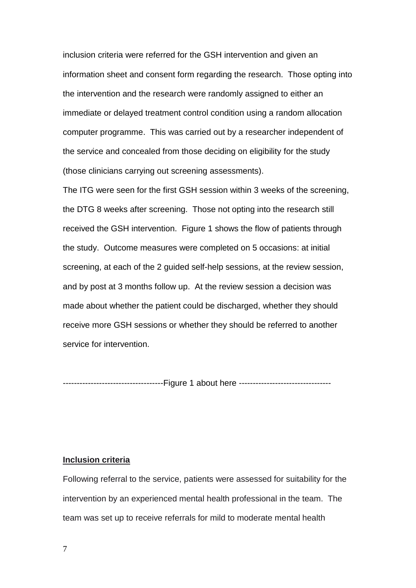inclusion criteria were referred for the GSH intervention and given an information sheet and consent form regarding the research. Those opting into the intervention and the research were randomly assigned to either an immediate or delayed treatment control condition using a random allocation computer programme. This was carried out by a researcher independent of the service and concealed from those deciding on eligibility for the study (those clinicians carrying out screening assessments).

The ITG were seen for the first GSH session within 3 weeks of the screening, the DTG 8 weeks after screening. Those not opting into the research still received the GSH intervention. Figure 1 shows the flow of patients through the study. Outcome measures were completed on 5 occasions: at initial screening, at each of the 2 guided self-help sessions, at the review session, and by post at 3 months follow up. At the review session a decision was made about whether the patient could be discharged, whether they should receive more GSH sessions or whether they should be referred to another service for intervention.

------------------------------------Figure 1 about here -------------------------------

#### **Inclusion criteria**

Following referral to the service, patients were assessed for suitability for the intervention by an experienced mental health professional in the team. The team was set up to receive referrals for mild to moderate mental health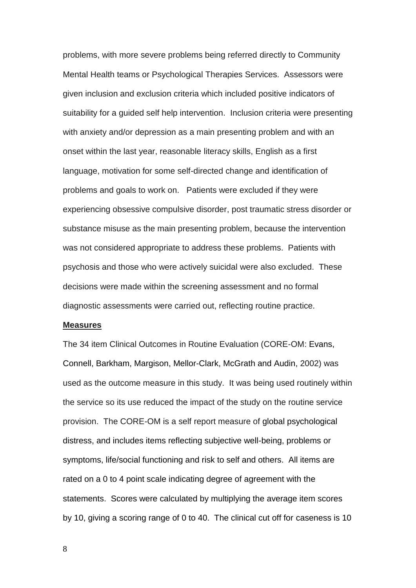problems, with more severe problems being referred directly to Community Mental Health teams or Psychological Therapies Services. Assessors were given inclusion and exclusion criteria which included positive indicators of suitability for a guided self help intervention. Inclusion criteria were presenting with anxiety and/or depression as a main presenting problem and with an onset within the last year, reasonable literacy skills, English as a first language, motivation for some self-directed change and identification of problems and goals to work on. Patients were excluded if they were experiencing obsessive compulsive disorder, post traumatic stress disorder or substance misuse as the main presenting problem, because the intervention was not considered appropriate to address these problems. Patients with psychosis and those who were actively suicidal were also excluded. These decisions were made within the screening assessment and no formal diagnostic assessments were carried out, reflecting routine practice.

#### **Measures**

The 34 item Clinical Outcomes in Routine Evaluation (CORE-OM: Evans, Connell, Barkham, Margison, Mellor-Clark, McGrath and Audin, 2002) was used as the outcome measure in this study. It was being used routinely within the service so its use reduced the impact of the study on the routine service provision. The CORE-OM is a self report measure of global psychological distress, and includes items reflecting subjective well-being, problems or symptoms, life/social functioning and risk to self and others. All items are rated on a 0 to 4 point scale indicating degree of agreement with the statements. Scores were calculated by multiplying the average item scores by 10, giving a scoring range of 0 to 40. The clinical cut off for caseness is 10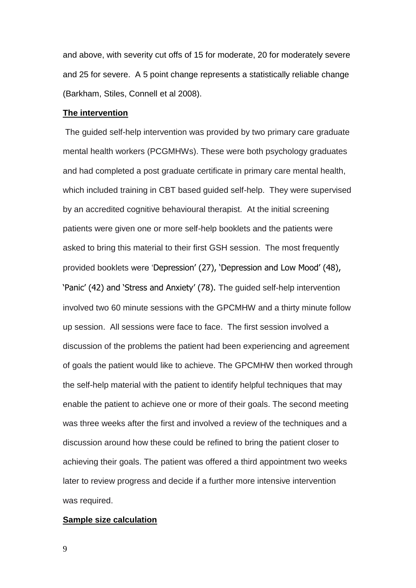and above, with severity cut offs of 15 for moderate, 20 for moderately severe and 25 for severe. A 5 point change represents a statistically reliable change (Barkham, Stiles, Connell et al 2008).

#### **The intervention**

The guided self-help intervention was provided by two primary care graduate mental health workers (PCGMHWs). These were both psychology graduates and had completed a post graduate certificate in primary care mental health, which included training in CBT based guided self-help. They were supervised by an accredited cognitive behavioural therapist. At the initial screening patients were given one or more self-help booklets and the patients were asked to bring this material to their first GSH session. The most frequently provided booklets were 'Depression' (27), 'Depression and Low Mood' (48), 'Panic' (42) and 'Stress and Anxiety' (78). The guided self-help intervention involved two 60 minute sessions with the GPCMHW and a thirty minute follow up session. All sessions were face to face. The first session involved a discussion of the problems the patient had been experiencing and agreement of goals the patient would like to achieve. The GPCMHW then worked through the self-help material with the patient to identify helpful techniques that may enable the patient to achieve one or more of their goals. The second meeting was three weeks after the first and involved a review of the techniques and a discussion around how these could be refined to bring the patient closer to achieving their goals. The patient was offered a third appointment two weeks later to review progress and decide if a further more intensive intervention was required.

#### **Sample size calculation**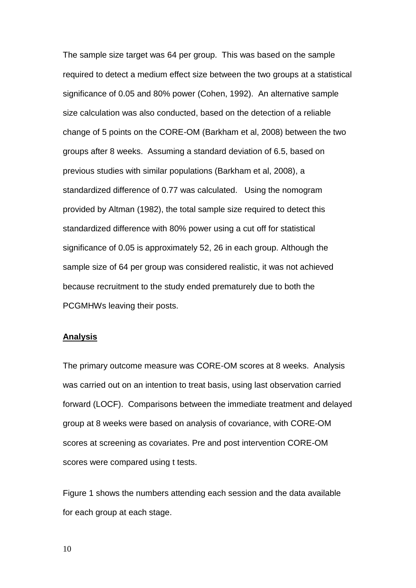The sample size target was 64 per group. This was based on the sample required to detect a medium effect size between the two groups at a statistical significance of 0.05 and 80% power (Cohen, 1992). An alternative sample size calculation was also conducted, based on the detection of a reliable change of 5 points on the CORE-OM (Barkham et al, 2008) between the two groups after 8 weeks. Assuming a standard deviation of 6.5, based on previous studies with similar populations (Barkham et al, 2008), a standardized difference of 0.77 was calculated. Using the nomogram provided by Altman (1982), the total sample size required to detect this standardized difference with 80% power using a cut off for statistical significance of 0.05 is approximately 52, 26 in each group. Although the sample size of 64 per group was considered realistic, it was not achieved because recruitment to the study ended prematurely due to both the PCGMHWs leaving their posts.

# **Analysis**

The primary outcome measure was CORE-OM scores at 8 weeks. Analysis was carried out on an intention to treat basis, using last observation carried forward (LOCF). Comparisons between the immediate treatment and delayed group at 8 weeks were based on analysis of covariance, with CORE-OM scores at screening as covariates. Pre and post intervention CORE-OM scores were compared using t tests.

Figure 1 shows the numbers attending each session and the data available for each group at each stage.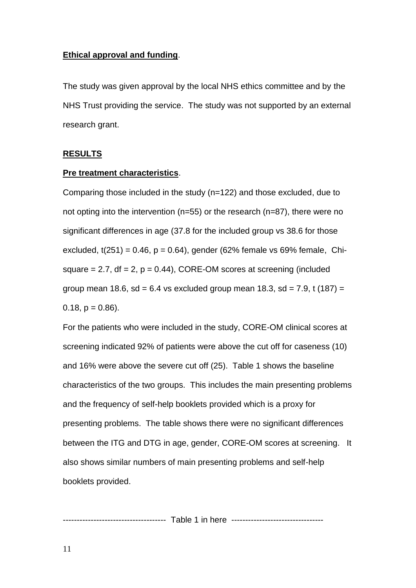# **Ethical approval and funding**.

The study was given approval by the local NHS ethics committee and by the NHS Trust providing the service. The study was not supported by an external research grant.

# **RESULTS**

# **Pre treatment characteristics**.

Comparing those included in the study (n=122) and those excluded, due to not opting into the intervention (n=55) or the research (n=87), there were no significant differences in age (37.8 for the included group vs 38.6 for those excluded,  $t(251) = 0.46$ ,  $p = 0.64$ ), gender (62% female vs 69% female, Chisquare  $= 2.7$ , df  $= 2$ ,  $p = 0.44$ ), CORE-OM scores at screening (included group mean 18.6, sd =  $6.4$  vs excluded group mean 18.3, sd =  $7.9$ , t (187) =  $0.18$ ,  $p = 0.86$ ).

For the patients who were included in the study, CORE-OM clinical scores at screening indicated 92% of patients were above the cut off for caseness (10) and 16% were above the severe cut off (25). Table 1 shows the baseline characteristics of the two groups. This includes the main presenting problems and the frequency of self-help booklets provided which is a proxy for presenting problems. The table shows there were no significant differences between the ITG and DTG in age, gender, CORE-OM scores at screening. It also shows similar numbers of main presenting problems and self-help booklets provided.

------------------------------- Table 1 in here ---------------------------------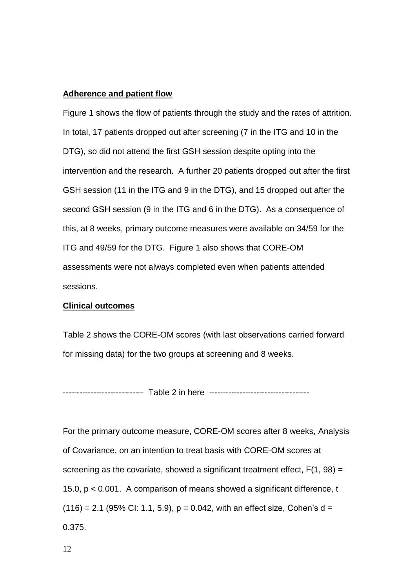# **Adherence and patient flow**

Figure 1 shows the flow of patients through the study and the rates of attrition. In total, 17 patients dropped out after screening (7 in the ITG and 10 in the DTG), so did not attend the first GSH session despite opting into the intervention and the research. A further 20 patients dropped out after the first GSH session (11 in the ITG and 9 in the DTG), and 15 dropped out after the second GSH session (9 in the ITG and 6 in the DTG). As a consequence of this, at 8 weeks, primary outcome measures were available on 34/59 for the ITG and 49/59 for the DTG. Figure 1 also shows that CORE-OM assessments were not always completed even when patients attended sessions.

# **Clinical outcomes**

Table 2 shows the CORE-OM scores (with last observations carried forward for missing data) for the two groups at screening and 8 weeks.

----------------------------- Table 2 in here ------------------------------------

For the primary outcome measure, CORE-OM scores after 8 weeks, Analysis of Covariance, on an intention to treat basis with CORE-OM scores at screening as the covariate, showed a significant treatment effect,  $F(1, 98) =$ 15.0, p < 0.001. A comparison of means showed a significant difference, t  $(116) = 2.1$  (95% CI: 1.1, 5.9),  $p = 0.042$ , with an effect size, Cohen's d = 0.375.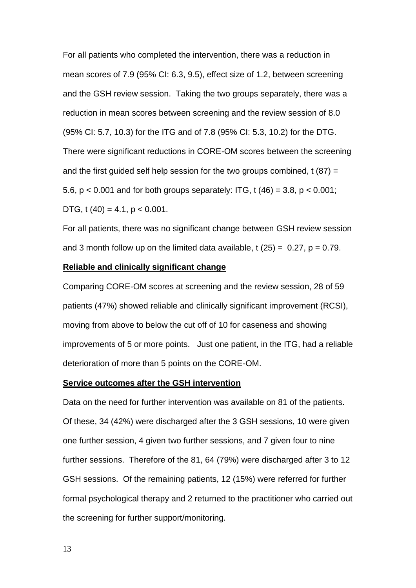For all patients who completed the intervention, there was a reduction in mean scores of 7.9 (95% CI: 6.3, 9.5), effect size of 1.2, between screening and the GSH review session. Taking the two groups separately, there was a reduction in mean scores between screening and the review session of 8.0 (95% CI: 5.7, 10.3) for the ITG and of 7.8 (95% CI: 5.3, 10.2) for the DTG. There were significant reductions in CORE-OM scores between the screening and the first guided self help session for the two groups combined,  $t(87) =$ 5.6,  $p < 0.001$  and for both groups separately: ITG, t (46) = 3.8,  $p < 0.001$ ; DTG, t  $(40) = 4.1$ , p < 0.001.

For all patients, there was no significant change between GSH review session and 3 month follow up on the limited data available, t  $(25) = 0.27$ ,  $p = 0.79$ .

# **Reliable and clinically significant change**

Comparing CORE-OM scores at screening and the review session, 28 of 59 patients (47%) showed reliable and clinically significant improvement (RCSI), moving from above to below the cut off of 10 for caseness and showing improvements of 5 or more points. Just one patient, in the ITG, had a reliable deterioration of more than 5 points on the CORE-OM.

# **Service outcomes after the GSH intervention**

Data on the need for further intervention was available on 81 of the patients. Of these, 34 (42%) were discharged after the 3 GSH sessions, 10 were given one further session, 4 given two further sessions, and 7 given four to nine further sessions. Therefore of the 81, 64 (79%) were discharged after 3 to 12 GSH sessions. Of the remaining patients, 12 (15%) were referred for further formal psychological therapy and 2 returned to the practitioner who carried out the screening for further support/monitoring.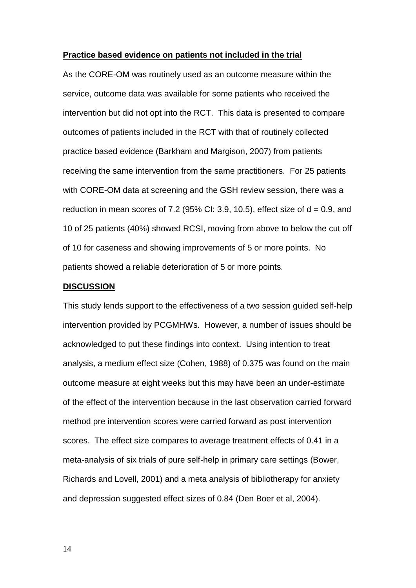#### **Practice based evidence on patients not included in the trial**

As the CORE-OM was routinely used as an outcome measure within the service, outcome data was available for some patients who received the intervention but did not opt into the RCT. This data is presented to compare outcomes of patients included in the RCT with that of routinely collected practice based evidence (Barkham and Margison, 2007) from patients receiving the same intervention from the same practitioners. For 25 patients with CORE-OM data at screening and the GSH review session, there was a reduction in mean scores of 7.2 (95% CI: 3.9, 10.5), effect size of  $d = 0.9$ , and 10 of 25 patients (40%) showed RCSI, moving from above to below the cut off of 10 for caseness and showing improvements of 5 or more points. No patients showed a reliable deterioration of 5 or more points.

# **DISCUSSION**

This study lends support to the effectiveness of a two session guided self-help intervention provided by PCGMHWs. However, a number of issues should be acknowledged to put these findings into context. Using intention to treat analysis, a medium effect size (Cohen, 1988) of 0.375 was found on the main outcome measure at eight weeks but this may have been an under-estimate of the effect of the intervention because in the last observation carried forward method pre intervention scores were carried forward as post intervention scores. The effect size compares to average treatment effects of 0.41 in a meta-analysis of six trials of pure self-help in primary care settings (Bower, Richards and Lovell, 2001) and a meta analysis of bibliotherapy for anxiety and depression suggested effect sizes of 0.84 (Den Boer et al, 2004).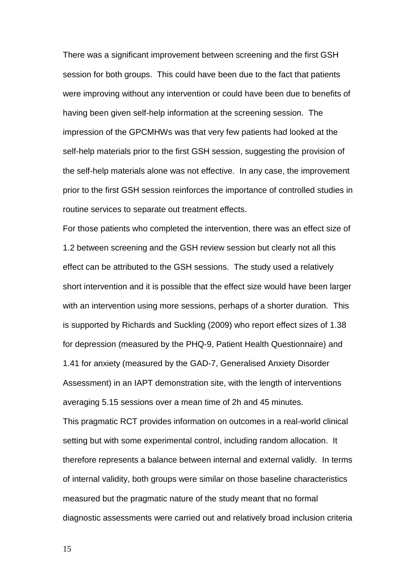There was a significant improvement between screening and the first GSH session for both groups. This could have been due to the fact that patients were improving without any intervention or could have been due to benefits of having been given self-help information at the screening session. The impression of the GPCMHWs was that very few patients had looked at the self-help materials prior to the first GSH session, suggesting the provision of the self-help materials alone was not effective. In any case, the improvement prior to the first GSH session reinforces the importance of controlled studies in routine services to separate out treatment effects.

For those patients who completed the intervention, there was an effect size of 1.2 between screening and the GSH review session but clearly not all this effect can be attributed to the GSH sessions. The study used a relatively short intervention and it is possible that the effect size would have been larger with an intervention using more sessions, perhaps of a shorter duration. This is supported by Richards and Suckling (2009) who report effect sizes of 1.38 for depression (measured by the PHQ-9, Patient Health Questionnaire) and 1.41 for anxiety (measured by the GAD-7, Generalised Anxiety Disorder Assessment) in an IAPT demonstration site, with the length of interventions averaging 5.15 sessions over a mean time of 2h and 45 minutes. This pragmatic RCT provides information on outcomes in a real-world clinical setting but with some experimental control, including random allocation. It therefore represents a balance between internal and external validly. In terms of internal validity, both groups were similar on those baseline characteristics measured but the pragmatic nature of the study meant that no formal diagnostic assessments were carried out and relatively broad inclusion criteria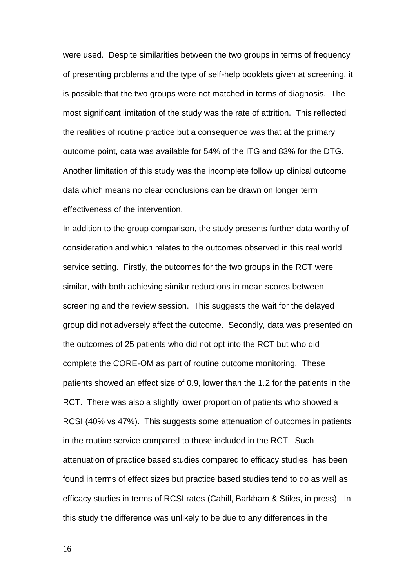were used. Despite similarities between the two groups in terms of frequency of presenting problems and the type of self-help booklets given at screening, it is possible that the two groups were not matched in terms of diagnosis. The most significant limitation of the study was the rate of attrition. This reflected the realities of routine practice but a consequence was that at the primary outcome point, data was available for 54% of the ITG and 83% for the DTG. Another limitation of this study was the incomplete follow up clinical outcome data which means no clear conclusions can be drawn on longer term effectiveness of the intervention.

In addition to the group comparison, the study presents further data worthy of consideration and which relates to the outcomes observed in this real world service setting. Firstly, the outcomes for the two groups in the RCT were similar, with both achieving similar reductions in mean scores between screening and the review session. This suggests the wait for the delayed group did not adversely affect the outcome. Secondly, data was presented on the outcomes of 25 patients who did not opt into the RCT but who did complete the CORE-OM as part of routine outcome monitoring. These patients showed an effect size of 0.9, lower than the 1.2 for the patients in the RCT. There was also a slightly lower proportion of patients who showed a RCSI (40% vs 47%). This suggests some attenuation of outcomes in patients in the routine service compared to those included in the RCT. Such attenuation of practice based studies compared to efficacy studies has been found in terms of effect sizes but practice based studies tend to do as well as efficacy studies in terms of RCSI rates (Cahill, Barkham & Stiles, in press). In this study the difference was unlikely to be due to any differences in the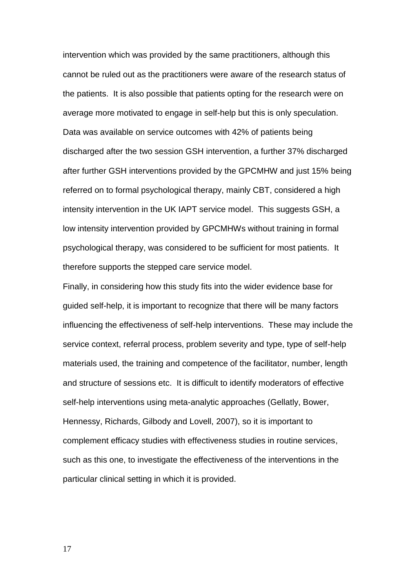intervention which was provided by the same practitioners, although this cannot be ruled out as the practitioners were aware of the research status of the patients. It is also possible that patients opting for the research were on average more motivated to engage in self-help but this is only speculation. Data was available on service outcomes with 42% of patients being discharged after the two session GSH intervention, a further 37% discharged after further GSH interventions provided by the GPCMHW and just 15% being referred on to formal psychological therapy, mainly CBT, considered a high intensity intervention in the UK IAPT service model. This suggests GSH, a low intensity intervention provided by GPCMHWs without training in formal psychological therapy, was considered to be sufficient for most patients. It therefore supports the stepped care service model.

Finally, in considering how this study fits into the wider evidence base for guided self-help, it is important to recognize that there will be many factors influencing the effectiveness of self-help interventions. These may include the service context, referral process, problem severity and type, type of self-help materials used, the training and competence of the facilitator, number, length and structure of sessions etc. It is difficult to identify moderators of effective self-help interventions using meta-analytic approaches (Gellatly, Bower, Hennessy, Richards, Gilbody and Lovell, 2007), so it is important to complement efficacy studies with effectiveness studies in routine services, such as this one, to investigate the effectiveness of the interventions in the particular clinical setting in which it is provided.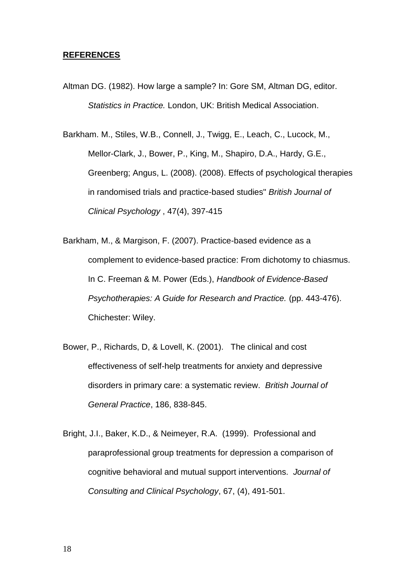## **REFERENCES**

Altman DG. (1982). How large a sample? In: Gore SM, Altman DG, editor. *Statistics in Practice.* London, UK: British Medical Association.

Barkham. M., Stiles, W.B., Connell, J., Twigg, E., Leach, C., Lucock, M., Mellor-Clark, J., Bower, P., King, M., Shapiro, D.A., Hardy, G.E., Greenberg; Angus, L. (2008). (2008). Effects of psychological therapies in randomised trials and practice-based studies" *British Journal of Clinical Psychology* , 47(4), 397-415

- Barkham, M., & Margison, F. (2007). Practice-based evidence as a complement to evidence-based practice: From dichotomy to chiasmus. In C. Freeman & M. Power (Eds.), *Handbook of Evidence-Based Psychotherapies: A Guide for Research and Practice.* (pp. 443-476). Chichester: Wiley.
- Bower, P., Richards, D, & Lovell, K. (2001). The clinical and cost effectiveness of self-help treatments for anxiety and depressive disorders in primary care: a systematic review. *British Journal of General Practice*, 186, 838-845.
- Bright, J.I., Baker, K.D., & Neimeyer, R.A. (1999). Professional and paraprofessional group treatments for depression a comparison of cognitive behavioral and mutual support interventions. *Journal of Consulting and Clinical Psychology*, 67, (4), 491-501.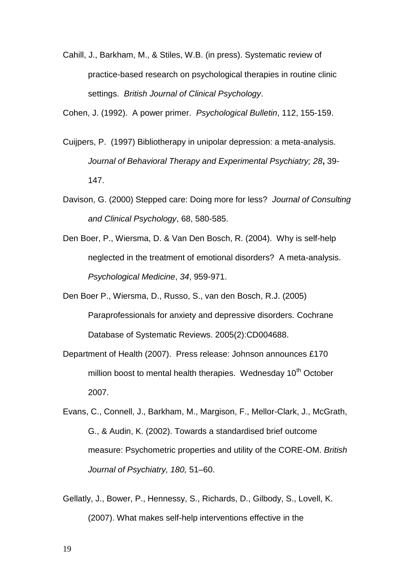Cahill, J., Barkham, M., & Stiles, W.B. (in press). Systematic review of practice-based research on psychological therapies in routine clinic settings. *British Journal of Clinical Psychology*.

Cohen, J. (1992). A power primer. *Psychological Bulletin*, 112, 155-159.

- Cuijpers, P. (1997) Bibliotherapy in unipolar depression: a meta-analysis. *Journal of Behavioral Therapy and Experimental Psychiatry; 28***,** 39- 147.
- Davison, G. (2000) Stepped care: Doing more for less? *Journal of Consulting and Clinical Psychology*, 68, 580-585.
- Den Boer, P., Wiersma, D. & Van Den Bosch, R. (2004). Why is self-help neglected in the treatment of emotional disorders? A meta-analysis. *Psychological Medicine*, *34*, 959-971.
- Den Boer P., Wiersma, D., Russo, S., van den Bosch, R.J. (2005) Paraprofessionals for anxiety and depressive disorders. Cochrane Database of Systematic Reviews. 2005(2):CD004688.
- Department of Health (2007). Press release: Johnson announces £170 million boost to mental health therapies. Wednesday 10<sup>th</sup> October 2007.
- Evans, C., Connell, J., Barkham, M., Margison, F., Mellor-Clark, J., McGrath, G., & Audin, K. (2002). Towards a standardised brief outcome measure: Psychometric properties and utility of the CORE-OM. *British Journal of Psychiatry, 180,* 51–60.
- Gellatly, J., Bower, P., Hennessy, S., Richards, D., Gilbody, S., Lovell, K. (2007). What makes self-help interventions effective in the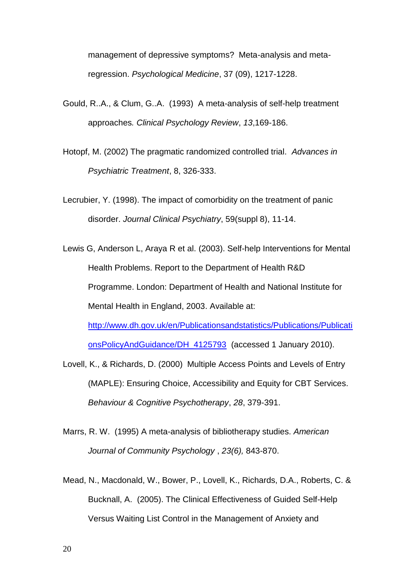management of depressive symptoms? Meta-analysis and metaregression. *Psychological Medicine*, 37 (09), 1217-1228.

- Gould, R..A., & Clum, G..A. (1993) A meta-analysis of self-help treatment approaches*. Clinical Psychology Review*, *13*,169-186.
- Hotopf, M. (2002) The pragmatic randomized controlled trial. *Advances in Psychiatric Treatment*, 8, 326-333.
- Lecrubier, Y. (1998). The impact of comorbidity on the treatment of panic disorder. *Journal Clinical Psychiatry*, 59(suppl 8), 11-14.
- Lewis G, Anderson L, Araya R et al. (2003). Self-help Interventions for Mental Health Problems. Report to the Department of Health R&D Programme. London: Department of Health and National Institute for Mental Health in England, 2003. Available at: [http://www.dh.gov.uk/en/Publicationsandstatistics/Publications/Publicati](http://www.dh.gov.uk/en/Publicationsandstatistics/Publications/PublicationsPolicyAndGuidance/DH_4125793) [onsPolicyAndGuidance/DH\\_4125793](http://www.dh.gov.uk/en/Publicationsandstatistics/Publications/PublicationsPolicyAndGuidance/DH_4125793) (accessed 1 January 2010).
- Lovell, K., & Richards, D. (2000) Multiple Access Points and Levels of Entry (MAPLE): Ensuring Choice, Accessibility and Equity for CBT Services. *Behaviour & Cognitive Psychotherapy*, *28*, 379-391.
- Marrs, R. W. (1995) A meta-analysis of bibliotherapy studies. *American Journal of Community Psychology* , *23(6),* 843-870.
- Mead, N., Macdonald, W., Bower, P., Lovell, K., Richards, D.A., Roberts, C. & Bucknall, A. (2005). The Clinical Effectiveness of Guided Self-Help Versus Waiting List Control in the Management of Anxiety and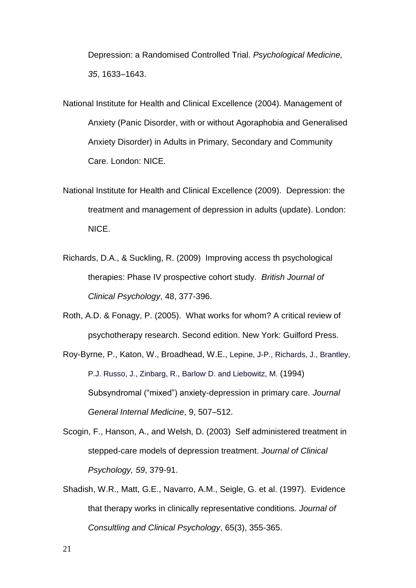Depression: a Randomised Controlled Trial. *Psychological Medicine, 35*, 1633–1643.

- National Institute for Health and Clinical Excellence (2004). Management of Anxiety (Panic Disorder, with or without Agoraphobia and Generalised Anxiety Disorder) in Adults in Primary, Secondary and Community Care. London: NICE.
- National Institute for Health and Clinical Excellence (2009). Depression: the treatment and management of depression in adults (update). London: NICE.
- Richards, D.A., & Suckling, R. (2009) Improving access th psychological therapies: Phase IV prospective cohort study. *British Journal of Clinical Psychology*, 48, 377-396.
- Roth, A.D. & Fonagy, P. (2005). What works for whom? A critical review of psychotherapy research. Second edition. New York: Guilford Press.
- Roy-Byrne, P., Katon, W., Broadhead, W.E., Lepine, J-P., Richards, J., Brantley, P.J. Russo, J., Zinbarg, R., Barlow, D. and Liebowitz, M. (1994) Subsyndromal ("mixed") anxiety-depression in primary care. *Journal General Internal Medicine*, 9, 507–512.
- Scogin, F., Hanson, A., and Welsh, D. (2003) Self administered treatment in stepped-care models of depression treatment. *Journal of Clinical Psychology, 59*, 379-91.
- Shadish, W.R., Matt, G.E., Navarro, A.M., Seigle, G. et al. (1997). Evidence that therapy works in clinically representative conditions. *Journal of Consultling and Clinical Psychology*, 65(3), 355-365.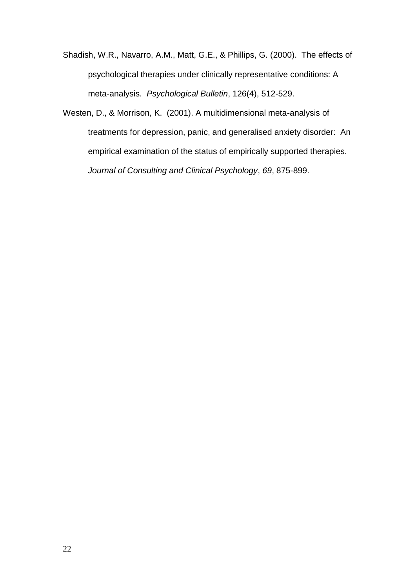- Shadish, W.R., Navarro, A.M., Matt, G.E., & Phillips, G. (2000). The effects of psychological therapies under clinically representative conditions: A meta-analysis. *Psychological Bulletin*, 126(4), 512-529.
- Westen, D., & Morrison, K. (2001). A multidimensional meta-analysis of treatments for depression, panic, and generalised anxiety disorder: An empirical examination of the status of empirically supported therapies. *Journal of Consulting and Clinical Psychology*, *69*, 875-899.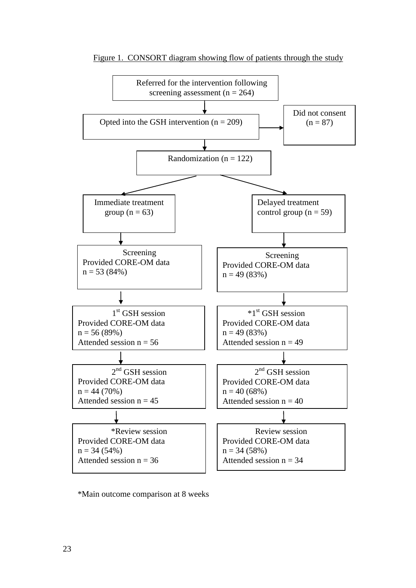

Figure 1. CONSORT diagram showing flow of patients through the study

\*Main outcome comparison at 8 weeks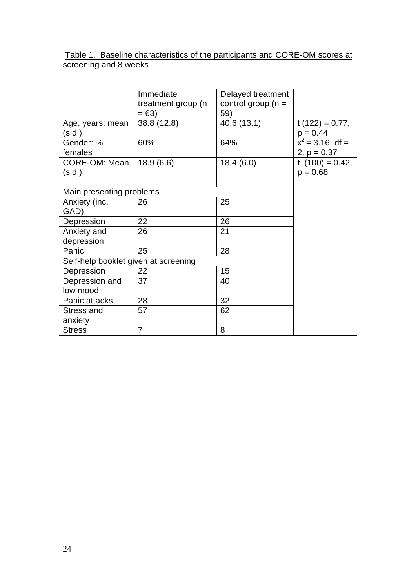# Table 1. Baseline characteristics of the participants and CORE-OM scores at screening and 8 weeks

|                                      | Immediate          | Delayed treatment    |                    |
|--------------------------------------|--------------------|----------------------|--------------------|
|                                      | treatment group (n | control group $(n =$ |                    |
|                                      | $= 63$             | 59)                  |                    |
| Age, years: mean                     | 38.8 (12.8)        | 40.6 (13.1)          | t $(122) = 0.77$ , |
| (s.d.)                               |                    |                      | $p = 0.44$         |
| Gender: %                            | 60%                | 64%                  | $x^2$ = 3.16, df = |
| females                              |                    |                      | 2, $p = 0.37$      |
| CORE-OM: Mean                        | 18.9(6.6)          | 18.4(6.0)            | t $(100) = 0.42$ , |
| (s.d.)                               |                    |                      | $p = 0.68$         |
|                                      |                    |                      |                    |
| Main presenting problems             |                    |                      |                    |
| Anxiety (inc,                        | 26                 | 25                   |                    |
| GAD)                                 |                    |                      |                    |
| Depression                           | 22                 | 26                   |                    |
| Anxiety and                          | 26                 | 21                   |                    |
| depression                           |                    |                      |                    |
| Panic                                | 25                 | 28                   |                    |
| Self-help booklet given at screening |                    |                      |                    |
| Depression                           | 22                 | 15                   |                    |
| Depression and                       | 37                 | 40                   |                    |
| low mood                             |                    |                      |                    |
| Panic attacks                        | 28                 | 32                   |                    |
| <b>Stress and</b>                    | 57                 | 62                   |                    |
| anxiety                              |                    |                      |                    |
| <b>Stress</b>                        | $\overline{7}$     | 8                    |                    |